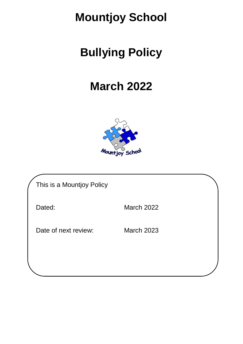## **Mountjoy School**

## **Bullying Policy**

## **March 2022**



| This is a Mountjoy Policy |                   |
|---------------------------|-------------------|
| Dated:                    | <b>March 2022</b> |
| Date of next review:      | <b>March 2023</b> |
|                           |                   |